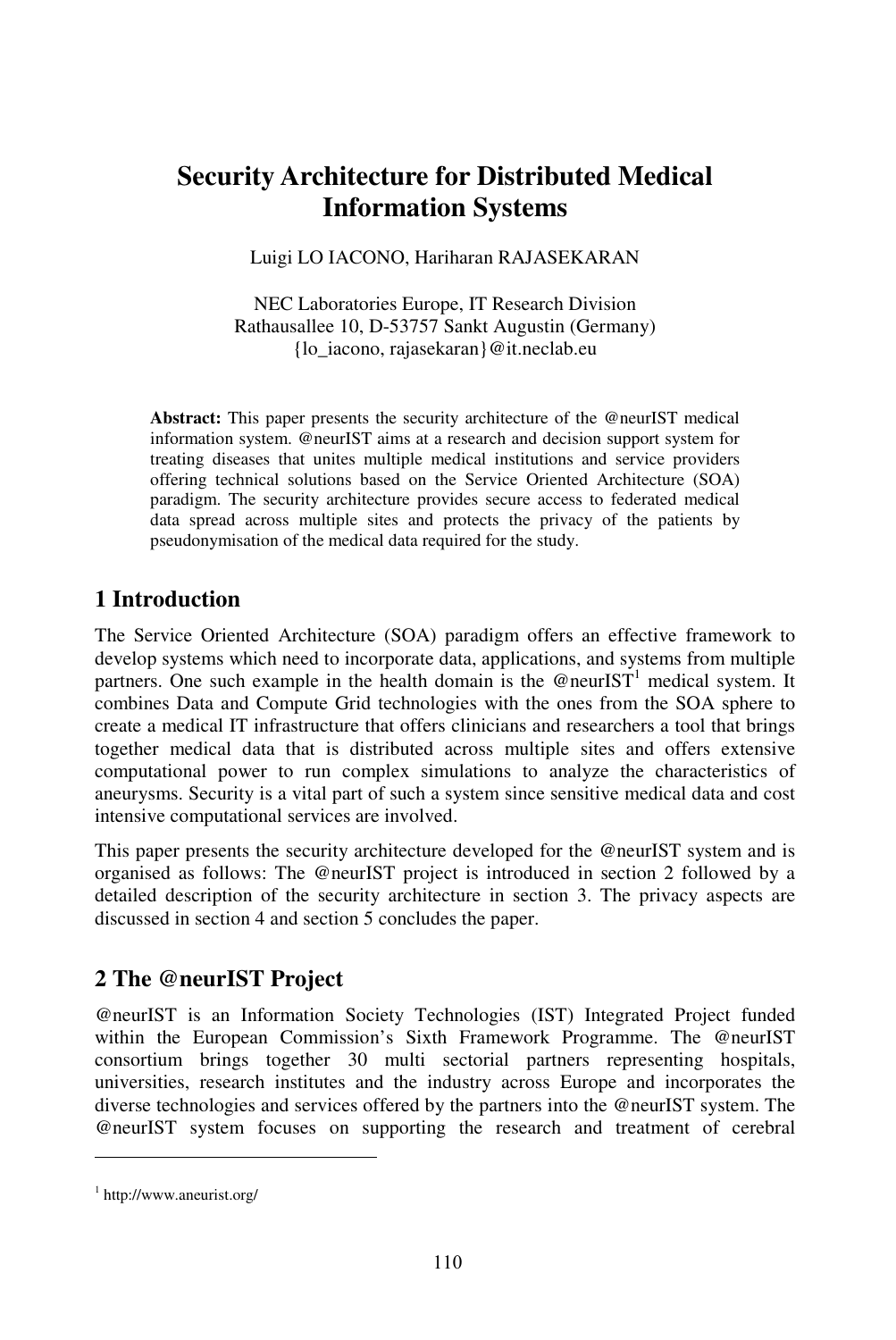# **Security Architecture for Distributed Medical Information Systems**

Luigi LO IACONO, Hariharan RAJASEKARAN

NEC Laboratories Europe, IT Research Division Rathausallee 10, D-53757 Sankt Augustin (Germany) {lo\_iacono, rajasekaran}@it.neclab.eu

**Abstract:** This paper presents the security architecture of the @neurIST medical information system. @neurIST aims at a research and decision support system for treating diseases that unites multiple medical institutions and service providers offering technical solutions based on the Service Oriented Architecture (SOA) paradigm. The security architecture provides secure access to federated medical data spread across multiple sites and protects the privacy of the patients by pseudonymisation of the medical data required for the study.

### **1 Introduction**

The Service Oriented Architecture (SOA) paradigm offers an effective framework to develop systems which need to incorporate data, applications, and systems from multiple partners. One such example in the health domain is the @neurIST<sup>1</sup> medical system. It combines Data and Compute Grid technologies with the ones from the SOA sphere to create a medical IT infrastructure that offers clinicians and researchers a tool that brings together medical data that is distributed across multiple sites and offers extensive computational power to run complex simulations to analyze the characteristics of aneurysms. Security is a vital part of such a system since sensitive medical data and cost intensive computational services are involved.

This paper presents the security architecture developed for the @neurIST system and is organised as follows: The @neurIST project is introduced in section 2 followed by a detailed description of the security architecture in section 3. The privacy aspects are discussed in section 4 and section 5 concludes the paper.

# **2 The @neurIST Project**

@neurIST is an Information Society Technologies (IST) Integrated Project funded within the European Commission's Sixth Framework Programme. The @neurIST consortium brings together 30 multi sectorial partners representing hospitals, universities, research institutes and the industry across Europe and incorporates the diverse technologies and services offered by the partners into the @neurIST system. The @neurIST system focuses on supporting the research and treatment of cerebral

<sup>1</sup> http://www.aneurist.org/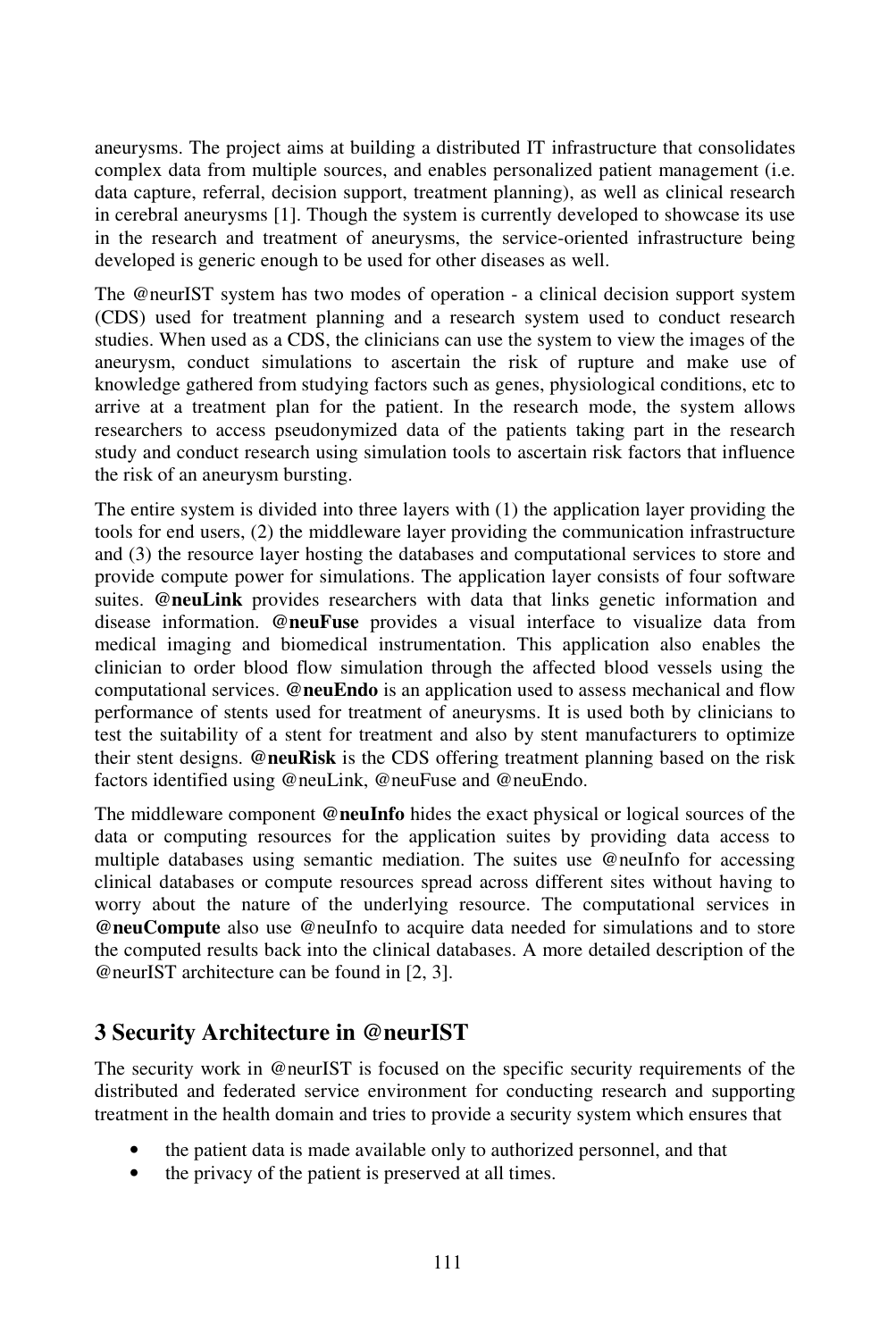aneurysms. The project aims at building a distributed IT infrastructure that consolidates complex data from multiple sources, and enables personalized patient management (i.e. data capture, referral, decision support, treatment planning), as well as clinical research in cerebral aneurysms [1]. Though the system is currently developed to showcase its use in the research and treatment of aneurysms, the service-oriented infrastructure being developed is generic enough to be used for other diseases as well.

The @neurIST system has two modes of operation - a clinical decision support system (CDS) used for treatment planning and a research system used to conduct research studies. When used as a CDS, the clinicians can use the system to view the images of the aneurysm, conduct simulations to ascertain the risk of rupture and make use of knowledge gathered from studying factors such as genes, physiological conditions, etc to arrive at a treatment plan for the patient. In the research mode, the system allows researchers to access pseudonymized data of the patients taking part in the research study and conduct research using simulation tools to ascertain risk factors that influence the risk of an aneurysm bursting.

The entire system is divided into three layers with (1) the application layer providing the tools for end users, (2) the middleware layer providing the communication infrastructure and (3) the resource layer hosting the databases and computational services to store and provide compute power for simulations. The application layer consists of four software suites. **@neuLink** provides researchers with data that links genetic information and disease information. **@neuFuse** provides a visual interface to visualize data from medical imaging and biomedical instrumentation. This application also enables the clinician to order blood flow simulation through the affected blood vessels using the computational services. **@neuEndo** is an application used to assess mechanical and flow performance of stents used for treatment of aneurysms. It is used both by clinicians to test the suitability of a stent for treatment and also by stent manufacturers to optimize their stent designs. **@neuRisk** is the CDS offering treatment planning based on the risk factors identified using @neuLink, @neuFuse and @neuEndo.

The middleware component **@neuInfo** hides the exact physical or logical sources of the data or computing resources for the application suites by providing data access to multiple databases using semantic mediation. The suites use @neuInfo for accessing clinical databases or compute resources spread across different sites without having to worry about the nature of the underlying resource. The computational services in **@neuCompute** also use @neuInfo to acquire data needed for simulations and to store the computed results back into the clinical databases. A more detailed description of the @neurIST architecture can be found in [2, 3].

# **3 Security Architecture in @neurIST**

The security work in @neurIST is focused on the specific security requirements of the distributed and federated service environment for conducting research and supporting treatment in the health domain and tries to provide a security system which ensures that

- the patient data is made available only to authorized personnel, and that
- the privacy of the patient is preserved at all times.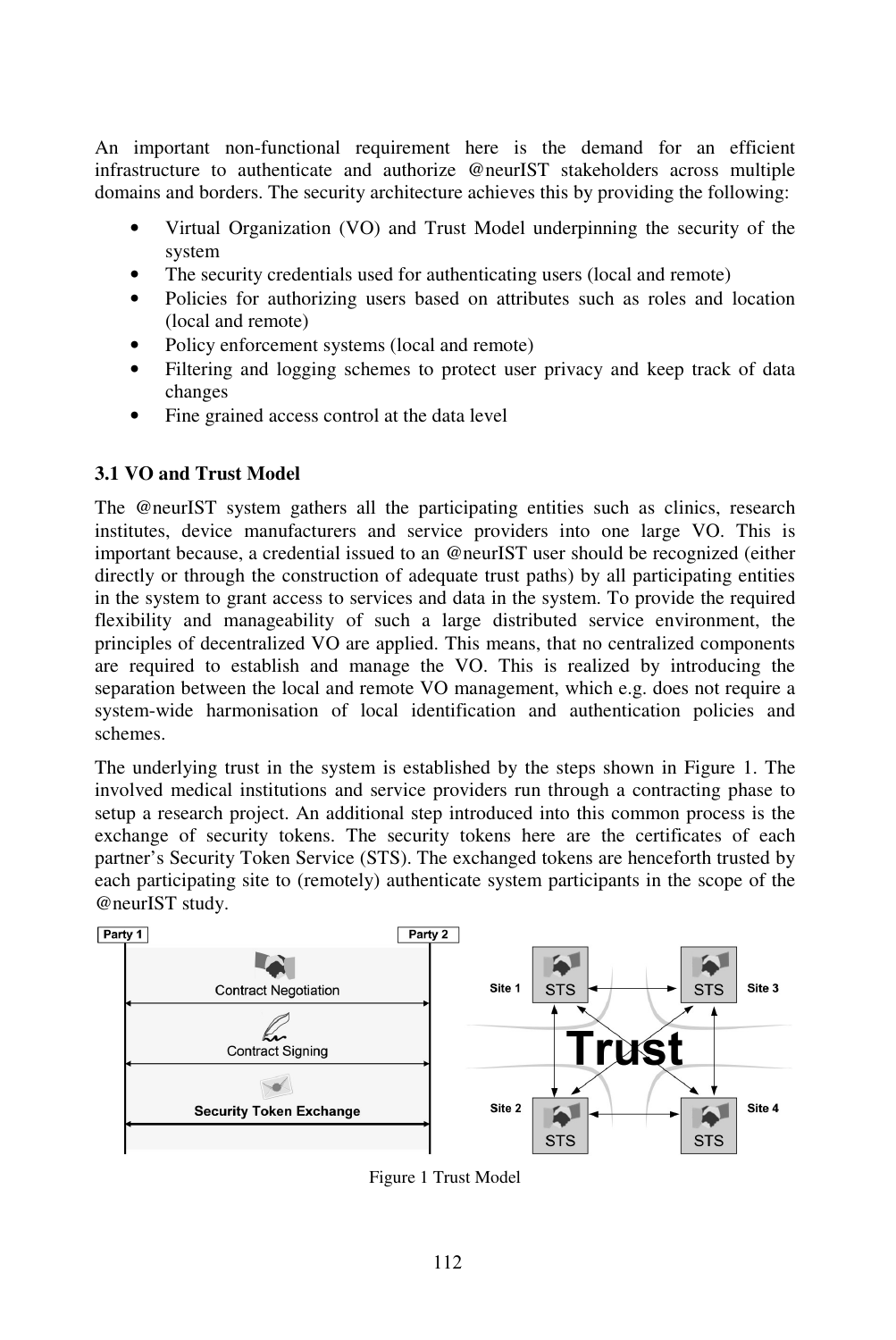An important non-functional requirement here is the demand for an efficient infrastructure to authenticate and authorize @neurIST stakeholders across multiple domains and borders. The security architecture achieves this by providing the following:

- Virtual Organization (VO) and Trust Model underpinning the security of the system
- The security credentials used for authenticating users (local and remote)
- Policies for authorizing users based on attributes such as roles and location (local and remote)
- Policy enforcement systems (local and remote)
- Filtering and logging schemes to protect user privacy and keep track of data changes
- Fine grained access control at the data level

#### **3.1 VO and Trust Model**

The @neurIST system gathers all the participating entities such as clinics, research institutes, device manufacturers and service providers into one large VO. This is important because, a credential issued to an @neurIST user should be recognized (either directly or through the construction of adequate trust paths) by all participating entities in the system to grant access to services and data in the system. To provide the required flexibility and manageability of such a large distributed service environment, the principles of decentralized VO are applied. This means, that no centralized components are required to establish and manage the VO. This is realized by introducing the separation between the local and remote VO management, which e.g. does not require a system-wide harmonisation of local identification and authentication policies and schemes.

The underlying trust in the system is established by the steps shown in Figure 1. The involved medical institutions and service providers run through a contracting phase to setup a research project. An additional step introduced into this common process is the exchange of security tokens. The security tokens here are the certificates of each partner's Security Token Service (STS). The exchanged tokens are henceforth trusted by each participating site to (remotely) authenticate system participants in the scope of the @neurIST study.



Figure 1 Trust Model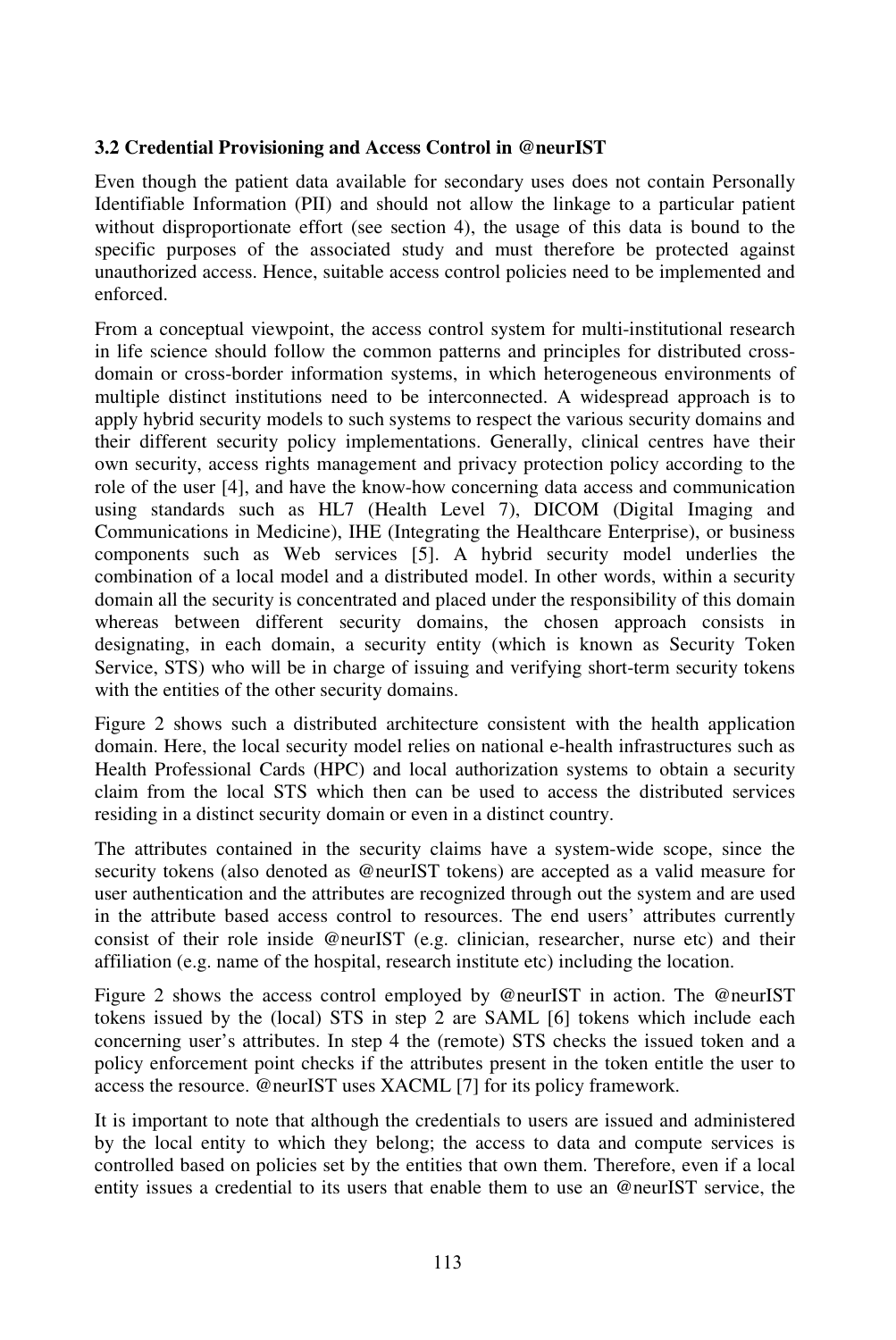#### **3.2 Credential Provisioning and Access Control in @neurIST**

Even though the patient data available for secondary uses does not contain Personally Identifiable Information (PII) and should not allow the linkage to a particular patient without disproportionate effort (see section 4), the usage of this data is bound to the specific purposes of the associated study and must therefore be protected against unauthorized access. Hence, suitable access control policies need to be implemented and enforced.

From a conceptual viewpoint, the access control system for multi-institutional research in life science should follow the common patterns and principles for distributed crossdomain or cross-border information systems, in which heterogeneous environments of multiple distinct institutions need to be interconnected. A widespread approach is to apply hybrid security models to such systems to respect the various security domains and their different security policy implementations. Generally, clinical centres have their own security, access rights management and privacy protection policy according to the role of the user [4], and have the know-how concerning data access and communication using standards such as HL7 (Health Level 7), DICOM (Digital Imaging and Communications in Medicine), IHE (Integrating the Healthcare Enterprise), or business components such as Web services [5]. A hybrid security model underlies the combination of a local model and a distributed model. In other words, within a security domain all the security is concentrated and placed under the responsibility of this domain whereas between different security domains, the chosen approach consists in designating, in each domain, a security entity (which is known as Security Token Service, STS) who will be in charge of issuing and verifying short-term security tokens with the entities of the other security domains.

Figure 2 shows such a distributed architecture consistent with the health application domain. Here, the local security model relies on national e-health infrastructures such as Health Professional Cards (HPC) and local authorization systems to obtain a security claim from the local STS which then can be used to access the distributed services residing in a distinct security domain or even in a distinct country.

The attributes contained in the security claims have a system-wide scope, since the security tokens (also denoted as @neurIST tokens) are accepted as a valid measure for user authentication and the attributes are recognized through out the system and are used in the attribute based access control to resources. The end users' attributes currently consist of their role inside @neurIST (e.g. clinician, researcher, nurse etc) and their affiliation (e.g. name of the hospital, research institute etc) including the location.

Figure 2 shows the access control employed by @neurIST in action. The @neurIST tokens issued by the (local) STS in step 2 are SAML [6] tokens which include each concerning user's attributes. In step 4 the (remote) STS checks the issued token and a policy enforcement point checks if the attributes present in the token entitle the user to access the resource. @neurIST uses XACML [7] for its policy framework.

It is important to note that although the credentials to users are issued and administered by the local entity to which they belong; the access to data and compute services is controlled based on policies set by the entities that own them. Therefore, even if a local entity issues a credential to its users that enable them to use an @neurIST service, the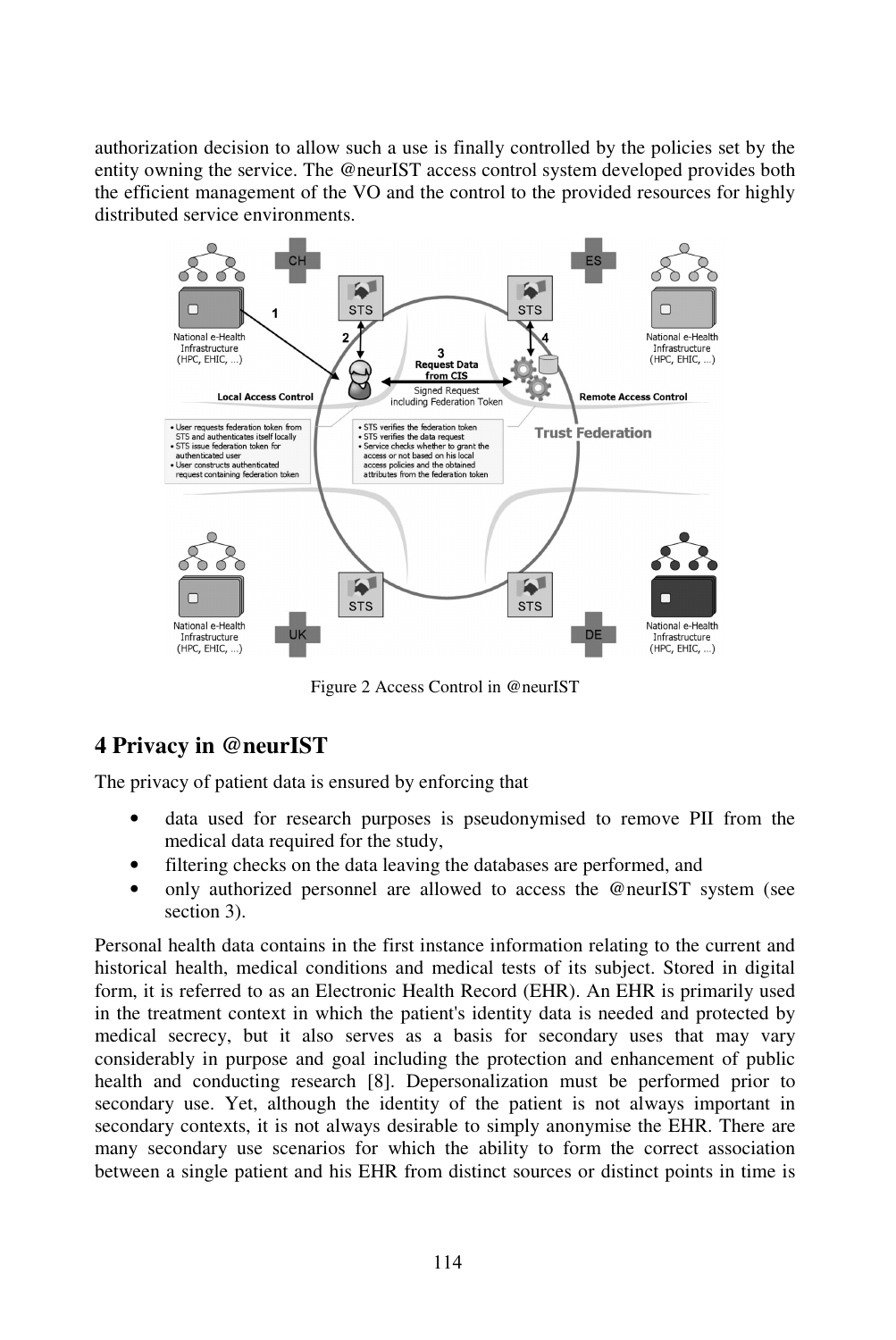authorization decision to allow such a use is finally controlled by the policies set by the entity owning the service. The @neurIST access control system developed provides both the efficient management of the VO and the control to the provided resources for highly distributed service environments.



Figure 2 Access Control in @neurIST

# **4 Privacy in @neurIST**

The privacy of patient data is ensured by enforcing that

- data used for research purposes is pseudonymised to remove PII from the medical data required for the study,
- filtering checks on the data leaving the databases are performed, and
- only authorized personnel are allowed to access the @neurIST system (see section 3).

Personal health data contains in the first instance information relating to the current and historical health, medical conditions and medical tests of its subject. Stored in digital form, it is referred to as an Electronic Health Record (EHR). An EHR is primarily used in the treatment context in which the patient's identity data is needed and protected by medical secrecy, but it also serves as a basis for secondary uses that may vary considerably in purpose and goal including the protection and enhancement of public health and conducting research [8]. Depersonalization must be performed prior to secondary use. Yet, although the identity of the patient is not always important in secondary contexts, it is not always desirable to simply anonymise the EHR. There are many secondary use scenarios for which the ability to form the correct association between a single patient and his EHR from distinct sources or distinct points in time is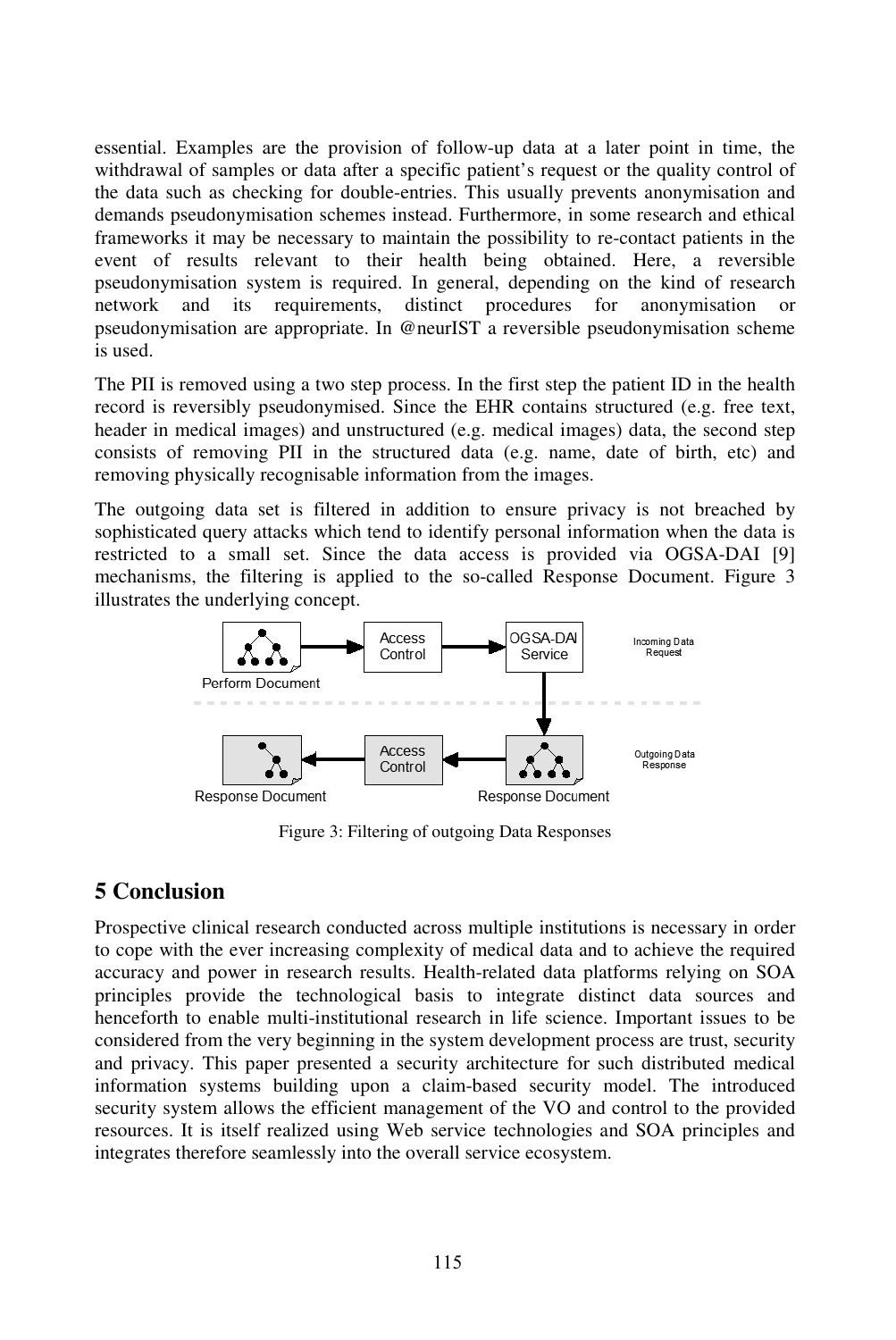essential. Examples are the provision of follow-up data at a later point in time, the withdrawal of samples or data after a specific patient's request or the quality control of the data such as checking for double-entries. This usually prevents anonymisation and demands pseudonymisation schemes instead. Furthermore, in some research and ethical frameworks it may be necessary to maintain the possibility to re-contact patients in the event of results relevant to their health being obtained. Here, a reversible pseudonymisation system is required. In general, depending on the kind of research network and its requirements, distinct procedures for anonymisation or pseudonymisation are appropriate. In @neurIST a reversible pseudonymisation scheme is used.

The PII is removed using a two step process. In the first step the patient ID in the health record is reversibly pseudonymised. Since the EHR contains structured (e.g. free text, header in medical images) and unstructured (e.g. medical images) data, the second step consists of removing PII in the structured data (e.g. name, date of birth, etc) and removing physically recognisable information from the images.

The outgoing data set is filtered in addition to ensure privacy is not breached by sophisticated query attacks which tend to identify personal information when the data is restricted to a small set. Since the data access is provided via OGSA-DAI [9] mechanisms, the filtering is applied to the so-called Response Document. Figure 3 illustrates the underlying concept.



Figure 3: Filtering of outgoing Data Responses

### **5 Conclusion**

Prospective clinical research conducted across multiple institutions is necessary in order to cope with the ever increasing complexity of medical data and to achieve the required accuracy and power in research results. Health-related data platforms relying on SOA principles provide the technological basis to integrate distinct data sources and henceforth to enable multi-institutional research in life science. Important issues to be considered from the very beginning in the system development process are trust, security and privacy. This paper presented a security architecture for such distributed medical information systems building upon a claim-based security model. The introduced security system allows the efficient management of the VO and control to the provided resources. It is itself realized using Web service technologies and SOA principles and integrates therefore seamlessly into the overall service ecosystem.